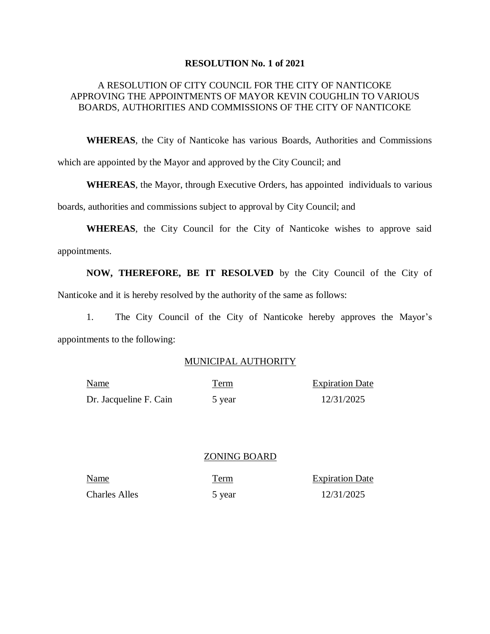#### **RESOLUTION No. 1 of 2021**

## A RESOLUTION OF CITY COUNCIL FOR THE CITY OF NANTICOKE APPROVING THE APPOINTMENTS OF MAYOR KEVIN COUGHLIN TO VARIOUS BOARDS, AUTHORITIES AND COMMISSIONS OF THE CITY OF NANTICOKE

**WHEREAS**, the City of Nanticoke has various Boards, Authorities and Commissions which are appointed by the Mayor and approved by the City Council; and

**WHEREAS**, the Mayor, through Executive Orders, has appointed individuals to various

boards, authorities and commissions subject to approval by City Council; and

**WHEREAS**, the City Council for the City of Nanticoke wishes to approve said appointments.

**NOW, THEREFORE, BE IT RESOLVED** by the City Council of the City of Nanticoke and it is hereby resolved by the authority of the same as follows:

1. The City Council of the City of Nanticoke hereby approves the Mayor's appointments to the following:

### MUNICIPAL AUTHORITY

| <b>Name</b>            | Term   | <b>Expiration Date</b> |
|------------------------|--------|------------------------|
| Dr. Jacqueline F. Cain | 5 year | 12/31/2025             |

### ZONING BOARD

Charles Alles 5 year 12/31/2025

Name Term Expiration Date